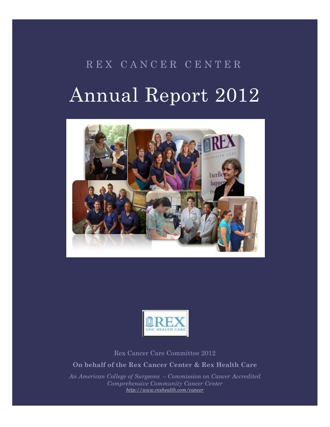# R E X C A N C E R C E N T E R Annual Report 2012





Rex Cancer Care Committee 2012

**On behalf of the Rex Cancer Center & Rex Health Care**

*An American College of Surgeons – Commission on Cancer Accredited Comprehensive Community Cancer Center <http://www.rexhealth.com/cancer>*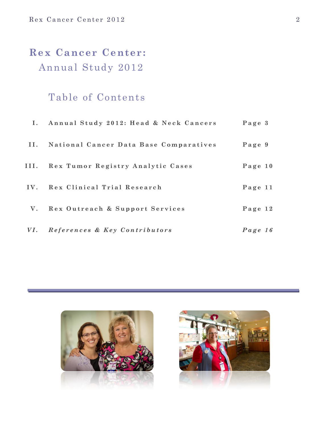# **Rex Cancer Center:** Annual Study 2012

# Table of Contents

|      | I. Annual Study 2012: Head & Neck Cancers | Page 3    |
|------|-------------------------------------------|-----------|
| II.  | National Cancer Data Base Comparatives    | Page 9    |
| III. | Rex Tumor Registry Analytic Cases         | Page $10$ |
|      | IV. Rex Clinical Trial Research           | Page 11   |
|      | V. Rex Outreach & Support Services        | Page 12   |
|      | VI. References & Key Contributors         | Page 16   |



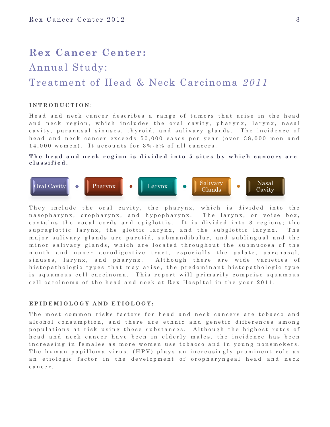# **Rex Cancer Center:**

# Annual Study:

# Treatment of Head & Neck Carcinoma *2011*

# **I N T R O D U C T I O N** :

Head and neck cancer describes a range of tumors that arise in the head and neck region, which includes the oral cavity, pharynx, larynx, nasal cavity, paranasal sinuses, thyroid, and salivary glands. The incidence of head and neck cancer exceeds 50,000 cases per year (over 38,000 men and  $14,000$  women). It accounts for  $3\%$  -  $5\%$  of all cancers.

# The head and neck region is divided into 5 sites by which cancers are **c l a s s i f i e d .**



They include the oral cavity, the pharynx, which is divided into the n a sopharynx, or opharynx, and hypopharynx. The larynx, or voice box, contains the vocal cords and epiglottis. It is divided into 3 regions; the supraglottic larynx, the glottic larynx, and the subglottic larynx. The major salivary glands are parotid, submandibular, and sublingual and the minor salivary glands, which are located throughout the submucosa of the mouth and upper aerodigestive tract, especially the palate, paranasal, sinuses, larynx, and pharynx. Although there are wide varieties of histopathologic types that may arise, the predominant histopathologic type is squamous cell carcinoma. This report will primarily comprise squamous cell carcinoma of the head and neck at Rex Hospital in the year 2011.

# E P I D E M I O L O G Y A N D E T I O L O G Y :

The most common risks factors for head and neck cancers are tobacco and alcohol consumption, and there are ethnic and genetic differences among populations at risk using these substances. Although the highest rates of head and neck cancer have been in elderly males, the incidence has been increasing in females as more women use tobacco and in young nonsmokers. The human papilloma virus, (HPV) plays an increasingly prominent role as an etiologic factor in the development of oropharyngeal head and neck c a n c e r .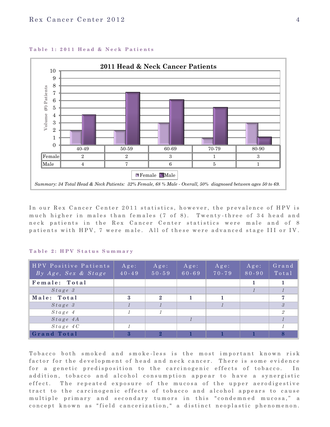

# Table 1: 2011 Head & Neck Patients

In our Rex Cancer Center 2011 statistics, however, the prevalence of HPV is much higher in males than females (7 of 8). Twenty-three of 34 head and neck patients in the Rex Cancer Center statistics were male and of 8 patients with HPV, 7 were male. All of these were advanced stage III or IV.

| HPV Positive Patients<br>By Age, Sex & Stage | $A g e$ :<br>$40 - 49$ | $A$ g e :<br>$50 - 59$ | $A$ g e :<br>$60 - 69$ | $A$ ge:<br>70-79 | $A g e$ :<br>$80 - 90$ | Grand<br>Total |
|----------------------------------------------|------------------------|------------------------|------------------------|------------------|------------------------|----------------|
| Female: Total                                |                        |                        |                        |                  |                        |                |
| Stage 3                                      |                        |                        |                        |                  |                        |                |
| Male: Total                                  | 3                      | $\mathbf{2}$           |                        |                  |                        | $\overline{7}$ |
| $Stage$ 3                                    |                        |                        |                        |                  |                        | $\mathcal{S}$  |
| Stage 4                                      | $\mathcal I$           |                        |                        |                  |                        | $\overline{2}$ |
| $Stage$ 4A                                   |                        |                        |                        |                  |                        |                |
| Stage 4C                                     |                        |                        |                        |                  |                        |                |
| Grand Total                                  | 3                      | $\bf{2}$               |                        |                  |                        | 8              |

# **T a b l e 2 : H P V S t a t u s S u m m a r y**

Tobacco both smoked and smoke-less is the most important known risk factor for the development of head and neck cancer. There is some evidence for a genetic predisposition to the carcinogenic effects of tobacco. In addition, tobacco and alcohol consumption appear to have a synergistic effect. The repeated exposure of the mucosa of the upper aerodigestive tract to the carcinogenic effects of tobacco and alcohol appears to cause multiple primary and secondary tumors in this "condemned mucosa," a concept known as "field cancerization," a distinct neoplastic phenomenon.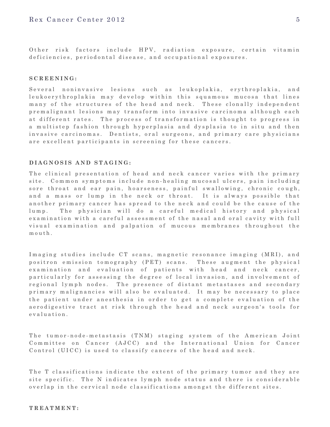Other risk factors include HPV, radiation exposure, certain vitamin deficiencies, periodontal disease, and occupational exposures.

# **S C R E E N I N G :**

Several noninvasive lesions such as leukoplakia, erythroplakia, and leukoerythroplakia may develop within this squamous mucosa that lines many of the structures of the head and neck. These clonally independent premalignant lesions may transform into invasive carcinoma although each at different rates. The process of transformation is thought to progress in a multistep fashion through hyperplasia and dysplasia to in situ and then invasive carcinomas. Dentists, oral surgeons, and primary care physicians are excellent participants in screening for these cancers.

# **D I A G N O S I S A N D S T A G I N G :**

The clinical presentation of head and neck cancer varies with the primary site. Common symptoms include non-healing mucosal ulcers, pain including sore throat and ear pain, hoarseness, painful swallowing, chronic cough, and a mass or lump in the neck or throat. It is always possible that an o ther primary cancer has spread to the neck and could be the cause of the lump. The physician will do a careful medical history and physical examination with a careful assessment of the nasal and oral cavity with full visual examination and palpation of mucous membranes throughout the  $m$  ou th.

Imaging studies include CT scans, magnetic resonance imaging (MRI), and positron emission tomography (PET) scans. These augment the physical examination and evaluation of patients with head and neck cancer, particularly for assessing the degree of local invasion, and involvement of regional lymph nodes. The presence of distant metastases and secondary primary malignancies will also be evaluated. It may be necessary to place the patient under anesthesia in order to get a complete evaluation of the a erodigestive tract at risk through the head and neck surgeon's tools for e valuation.

The tumor-node-metastasis (TNM) staging system of the American Joint Committee on Cancer (AJCC) and the International Union for Cancer Control (UICC) is used to classify cancers of the head and neck.

The T classifications indicate the extent of the primary tumor and they are site specific. The N indicates lymph node status and there is considerable overlap in the cervical node classifications amongst the different sites.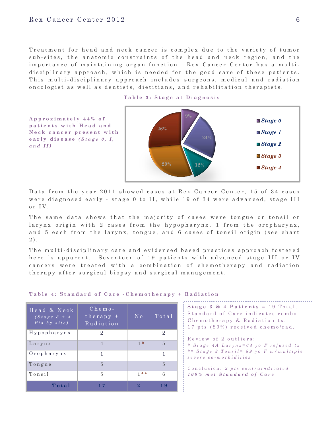Treatment for head and neck cancer is complex due to the variety of tumor sub-sites, the anatomic constraints of the head and neck region, and the importance of maintaining organ function. Rex Cancer Center has a multidisciplinary approach, which is needed for the good care of these patients. This multi-disciplinary approach includes surgeons, medical and radiation on cologist as well as dentists, dietitians, and rehabilitation therapists.



**A p p r o x i m a t e l y 4 4 % o f p a t i e n t s w i t h H e a d a n d**   $N e c k$  cancer present with **e a r l y d i s e a s e** *( S t a g e 0 , I ,*   $a n d$  *II*)



Data from the year 2011 showed cases at Rex Cancer Center, 15 of 34 cases were diagnosed early - stage 0 to II, while 19 of 34 were advanced, stage III  $or IV.$ 

The same data shows that the majority of cases were tongue or tonsil or larynx origin with 2 cases from the hypopharynx, 1 from the oropharynx, and 5 each from the larynx, tongue, and 6 cases of tonsil origin (see chart  $2$ .

The multi-disciplinary care and evidenced based practices approach fostered here is apparent. Seventeen of 19 patients with advanced stage III or IV cancers were treated with a combination of chemotherapy and radiation therapy after surgical biopsy and surgical management.

| Head & Neck<br>$\sqrt{(Stage \; 3 + 4)}$<br>$Pts$ by $site$ ) | $C$ hemo-<br>$th$ erapy +<br>Radiation | N <sub>0</sub> | Total          |
|---------------------------------------------------------------|----------------------------------------|----------------|----------------|
| $H$ y p o p h a r y n x                                       | $\overline{2}$                         |                | $\overline{2}$ |
| Larynx                                                        | $\overline{4}$                         | $1*$           | 5              |
| $0$ ropharynx                                                 | 1                                      |                | 1              |
| Tongue                                                        | $\overline{5}$                         |                | 5              |
| Tonsil                                                        | 5                                      | $1 * *$        | 6              |
| Total                                                         |                                        | $\mathbf{Q}$   | 19             |

### **Table 4: Standard of Care -Chemotherapy + Radiation**

| Stage 3 & 4 Patients = $19$ Total.    |
|---------------------------------------|
| Standard of Care indicates combo      |
| Chemotherapy & Radiation tx.          |
| 17 pts (89%) received chemo/rad,      |
| Review of 2 outliers:                 |
| * Stage 4A Larynx=64 yo F refused tx  |
| ** Stage 3 Tonsil= 89 yo F w/multiple |

C on clusion: 2 pts contraindicated *1 0 0 % m e t S t a n d a r d o f C a r e*

*s e v e r e c o - m o r b i d i t i e s*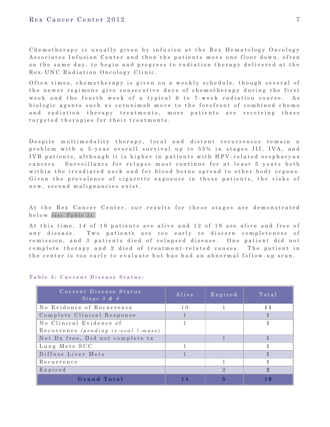Chemotherapy is usually given by infusion at the Rex Hematology Oncology Associates Infusion Center and then the patients move one floor down, often on the same day, to begin and progress to radiation therapy delivered at the Rex - UNC Radiation Oncology Clinic.

Often times, chemotherapy is given on a weekly schedule, though several of the newer regimens give consecutive days of chemotherapy during the first week and the fourth week of a typical 6 to 7-week radiation course. As biologic agents such as cetuximab move to the forefront of combined chemo and radiation therapy treatments, more patients are receiving these targeted therapies for their treatments.

Despite multimodality therapy, local and distant recurrences remain a problem with a 5-year overall survival up to 55% in stages III, IVA, and IVB patients, although it is higher in patients with HPV-related oropharynx cancers. Surveillance for relapse must continue for at least 5 years both within the irradiated neck and for blood borne spread to other body organs. Given the prevalence of cigarette exposure in these patients, the risks of new, second malignancies exist.

At the Rex Cancer Center, our results for these stages are demonstrated  $b$  e l ow  $($ s e e  $Table 5)$ .

At this time, 14 of 19 patients are alive and 12 of 19 are alive and free of any disease. Two patients are too early to discern completeness of remission, and 3 patients died of relapsed disease. One patient did not complete therapy and 2 died of treatment-related causes. The patient in the center is too early to evaluate but has had an abnormal follow -up scan.

| Current Disease Status<br>Stage 3 & 4 | Alive | $E$ x p i r e d | Total        |
|---------------------------------------|-------|-----------------|--------------|
| No Evidence of Recurrence             | 10    |                 | 11           |
| Complete Clinical Response            |       |                 |              |
| No Clinical Evidence of               |       |                 |              |
| Recurrence (pending re-eval ?.mass)   |       |                 |              |
| Not Dx free, Did not complete tx      |       |                 |              |
| Lung Mets SCC                         |       |                 |              |
| Diffuse Liver Mets                    |       |                 |              |
| Recurrence                            |       |                 |              |
| Expired                               |       | $\mathbf{2}$    | $\mathbf{2}$ |
| Grand Total                           | 14    | 5               | 19           |

#### **Table 5: Current Disease Status:**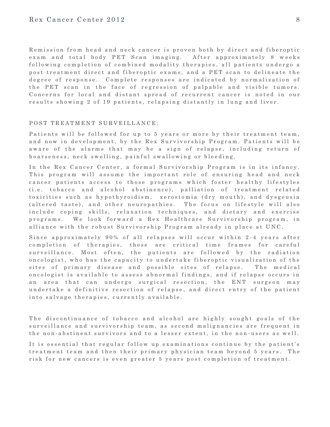Remission from head and neck cancer is proven both by direct and fiberoptic exam and total body PET Scan imaging. After approximately 8 weeks following completion of combined modality therapies, all patients undergo a post treatment direct and fiberoptic exams, and a PET scan to delineate the degree of response. Complete responses are indicated by normalization of the PET scan in the face of regression of palpable and visible tumors. Concerns for local and distant spread of recurrent cancer is noted in our results showing 2 of 19 patients, relapsing distantly in lung and liver.

# POST TREATMENT SURVEILLANCE:

Patients will be followed for up to 5 years or more by their treatment team, and now in development, by the Rex Survivorship Program. Patients will be aw are of the alarms that may be a sign of relapse, including return of hoarseness, neck swelling, painful swallowing or bleeding.

In the Rex Cancer Center, a formal Survivorship Program is in its infancy. This program will assume the important role of ensuring head and neck cancer patients access to those programs which foster healthy lifestyles (i.e. tobacco and alcohol abstinence), palliation of treatment related to xicities such as hypothyroidism, xerostomia (dry mouth), and dysgeusia (altered taste), and other neuropathies. The focus on lifestyle will also include coping skills, relaxation techniques, and dietary and exercise programs. We look forward a Rex Healthcare Survivorship program, in alliance with the robust Survivorship Program already in place at UNC.

Since approximately 90% of all relapses will occur within 2-4 years after completion of therapies, these are critical time frames for careful surveillance. Most often, the patients are followed by the radiation on cologist, who has the capacity to undertake fiberoptic visualization of the sites of primary disease and possible sites of relapse. The medical on cologist is available to assess abnormal findings, and if relapse occurs in an area that can undergo surgical resection, the ENT surgeon may undertake a definitive resection of relapse, and direct entry of the patient into salvage therapies, currently available.

The discontinuance of tobacco and alcohol are highly sought goals of the surveillance and survivorship team, as second malignancies are frequent in the non-abstinent survivors and to a lesser extent, in the non-users as well.

It is essential that regular follow up examinations continue by the patient's treatment team and then their primary physician team beyond 5 years. The risk for new cancers is even greater 5 years post completion of treatment.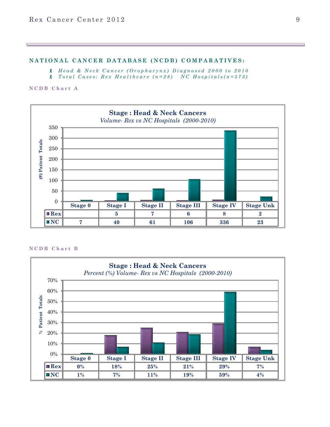# **NATIONAL CANCER DATABASE (NCDB) COMPARATIVES:**

*H e a d & N e c k C a n c e r ( O r o p h a r y n x ) D i a g n o s e d 2 0 0 0 t o 2 0 1 0*

*T o t a l C a s e s : R e x H e a l t h c a r e ( n = 2 8 ) N C H o s p i t a l s ( n = 5 7 3 )*

**N C D B C h a r t A**



#### **N C D B C h a r t B**

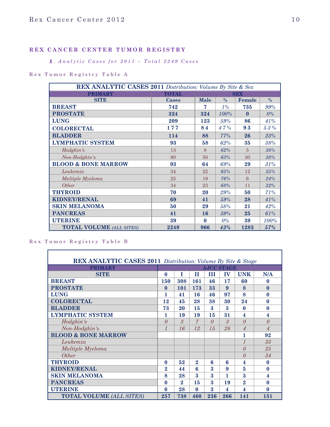# **R E X C A N C E R C E N T E R T U M O R R E G I S T R Y**

# *A n a l y t i c C a s e s f o r 2 0 1 1 – T o t a l 2 2 4 9 C a s e s*

# **R e x T u m o r R e g i s t r y T a b l e A**

| REX ANALYTIC CASES 2011 Distribution: Volume By Site & Sex |              |             |               |          |               |  |
|------------------------------------------------------------|--------------|-------------|---------------|----------|---------------|--|
| <b>PRIMARY</b>                                             | <b>TOTAL</b> |             | <b>SEX</b>    |          |               |  |
| <b>SITE</b>                                                | Cases        | <b>Male</b> | $\frac{0}{0}$ | Female   | $\frac{0}{0}$ |  |
| <b>BREAST</b>                                              | 742          | 7           | $1\%$         | 735      | 99%           |  |
| <b>PROSTATE</b>                                            | 324          | 324         | 100%          | $\bf{0}$ | $0\%$         |  |
| <b>LUNG</b>                                                | 209          | 123         | $59\%$        | 86       | 41%           |  |
| <b>COLORECTAL</b>                                          | 177          | 84          | 47%           | 93       | $5\,3\,\%$    |  |
| <b>BLADDER</b>                                             | 114          | 88          | 77%           | 26       | 23%           |  |
| <b>LYMPHATIC SYSTEM</b>                                    | 93           | 58          | 62%           | 35       | 38%           |  |
| Hodgkin's                                                  | 13           | 8           | 62%           | 5        | 38%           |  |
| Non-Hodgkin's                                              | 80           | 50          | 63%           | 30       | 38%           |  |
| <b>BLOOD &amp; BONE MARROW</b>                             | 93           | 64          | 69%           | 29       | 31%           |  |
| Leukemia                                                   | 34           | 22          | 65%           | 12       | 35%           |  |
| Multiple Myeloma                                           | 25           | 19          | 76%           | 6        | 24%           |  |
| <i><b>Other</b></i>                                        | 34           | 23          | 68%           | 11       | 32%           |  |
| <b>THYROID</b>                                             | 70           | 20          | $29\%$        | 50       | 71%           |  |
| <b>KIDNEY/RENAL</b>                                        | 69           | 41          | 59%           | 28       | 41%           |  |
| <b>SKIN MELANOMA</b>                                       | 50           | 29          | 58%           | 21       | 42%           |  |
| <b>PANCREAS</b>                                            | 41           | 16          | 39%           | 25       | 61%           |  |
| <b>UTERINE</b>                                             | 39           | $\bf{0}$    | $0\%$         | 39       | 100%          |  |
| <b>TOTAL VOLUME</b> (ALL SITES)                            | 2249         | 966         | 43%           | 1283     | 57%           |  |

**R e x T u m o r R e g i s t r y T a b l e B**

| <b>REX ANALYTIC CASES 2011</b> Distribution: Volume By Site & Stage |                |          |                |                           |                   |                         |                         |
|---------------------------------------------------------------------|----------------|----------|----------------|---------------------------|-------------------|-------------------------|-------------------------|
| <b>PRIMARY</b>                                                      |                |          |                |                           | <b>AJCC STAGE</b> |                         |                         |
| <b>SITE</b>                                                         | $\mathbf{0}$   | T        | П              | Ш                         | IV                | <b>UNK</b>              | N/A                     |
| <b>BREAST</b>                                                       | <b>150</b>     | 308      | 161            | 46                        | 17                | 60                      | $\bf{0}$                |
| <b>PROSTATE</b>                                                     | $\mathbf 0$    | 101      | 173            | 33                        | 9                 | 8                       | $\bf{0}$                |
| <b>LUNG</b>                                                         | 1              | 41       | 16             | 46                        | 97                | 8                       | $\bf{0}$                |
| <b>COLORECTAL</b>                                                   | 12             | 45       | 28             | 38                        | 30                | 24                      | $\bf{0}$                |
| <b>BLADDER</b>                                                      | 73             | 20       | 15             | 3                         | 3                 | $\mathbf{0}$            | $\bf{0}$                |
| <b>LYMPHATIC SYSTEM</b>                                             | 1              | 19       | 19             | 15                        | 31                | $\overline{\mathbf{4}}$ | $\overline{\mathbf{4}}$ |
| Hodgkin's                                                           | $\theta$       | 3        | $\overline{7}$ | $\theta$                  | $\mathcal{S}$     | $\Omega$                | $\theta$                |
| Non-Hodgkin's                                                       | $\mathcal I$   | 16       | 12             | 15                        | 28                | $\overline{A}$          | 4                       |
| <b>BLOOD &amp; BONE MARROW</b>                                      |                |          |                |                           |                   | 1                       | 92                      |
| Leukemia                                                            |                |          |                |                           |                   |                         | 33                      |
| Multiple Myeloma                                                    |                |          |                |                           |                   | $\theta$                | 25                      |
| <i><b>Other</b></i>                                                 |                |          |                |                           |                   | $\Omega$                | 34                      |
| <b>THYROID</b>                                                      | $\bf{0}$       | 52       | $\overline{2}$ | 6                         | 6                 | $\overline{\bf{4}}$     | $\bf{0}$                |
| <b>KIDNEY/RENAL</b>                                                 | $\overline{2}$ | 44       | 6              | $\boldsymbol{\mathsf{R}}$ | 9                 | 5                       | $\bf{0}$                |
| <b>SKIN MELANOMA</b>                                                | 8              | 28       | $\mathbf{a}$   | 3                         | 1                 | $\boldsymbol{3}$        | $\overline{\mathbf{4}}$ |
| <b>PANCREAS</b>                                                     | $\mathbf{0}$   | $\bf{2}$ | 15             | $\bf{3}$                  | 19                | $\overline{2}$          | $\bf{0}$                |
| <b>UTERINE</b>                                                      | $\bf{0}$       | 28       | $\bf{0}$       | 3                         | 4                 | 4                       | $\bf{0}$                |
| <b>TOTAL VOLUME (ALL SITES)</b>                                     | 257            | 738      | 460            | 236                       | 266               | 141                     | 151                     |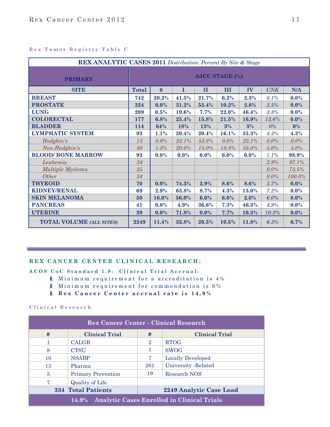# **R e x T u m o r R e g i s t r y T a b l e C**

| REX ANALYTIC CASES 2011 Distribution: Percent By Site & Stage |                       |              |             |              |         |         |            |         |
|---------------------------------------------------------------|-----------------------|--------------|-------------|--------------|---------|---------|------------|---------|
| <b>PRIMARY</b>                                                | <b>AJCC STAGE (%)</b> |              |             |              |         |         |            |         |
| <b>SITE</b>                                                   | <b>Total</b>          | $\mathbf{0}$ | $\mathbf I$ | $\mathbf{I}$ | III     | IV      | <b>UNK</b> | N/A     |
| <b>BREAST</b>                                                 | 742                   | 20.2%        | 41.5%       | 21.7%        | 6.2%    | 2.3%    | 8.1%       | $0.0\%$ |
| <b>PROSTATE</b>                                               | 324                   | 0.0%         | 31.2%       | 53.4%        | 10.2%   | 2.8%    | 2.5%       | $0.0\%$ |
| <b>LUNG</b>                                                   | 209                   | 0.5%         | 19.6%       | 7.7%         | 22.0%   | 46.4%   | 3.8%       | 0.0%    |
| <b>COLORECTAL</b>                                             | 177                   | 6.8%         | 25.4%       | 15.8%        | 21.5%   | 16.9%   | 13.6%      | $0.0\%$ |
| <b>BLADDER</b>                                                | 114                   | 64%          | 18%         | 13%          | 3%      | 3%      | $0\%$      | $0\%$   |
| <b>LYMPHATIC SYSTEM</b>                                       | 93                    | 1.1%         | 20.4%       | 20.4%        | 16.1%   | 33.3%   | 4.3%       | 4.3%    |
| Hodgkin's                                                     | 13                    | 0.0%         | 23.1%       | 53.8%        | 0.0%    | 23.1%   | 0.0%       | 0.0%    |
| Non-Hodgkin's                                                 | 80                    | 1.3%         | $20.0\%$    | 15.0%        | 18.8%   | 35.0%   | $5.0\%$    | 5.0%    |
| <b>BLOOD/ BONE MARROW</b>                                     | 93                    | 0.0%         | $0.0\%$     | $0.0\%$      | $0.0\%$ | $0.0\%$ | 1.1%       | 98.9%   |
| Leukemia                                                      | 34                    |              |             |              |         |         | 2.9%       | 97.1%   |
| Multiple Myeloma                                              | 25                    |              |             |              |         |         | $0.0\%$    | 73.5%   |
| Other                                                         | 34                    |              |             |              |         |         | 0.0%       | 100.0%  |
| <b>THYROID</b>                                                | 70                    | 0.0%         | 74.3%       | 2.9%         | 8.6%    | 8.6%    | 5.7%       | $0.0\%$ |
| <b>KIDNEY/RENAL</b>                                           | 69                    | 2.9%         | 63.8%       | 8.7%         | 4.3%    | 13.0%   | 7.2%       | $0.0\%$ |
| <b>SKIN MELANOMA</b>                                          | 50                    | 16.0%        | 56.0%       | 6.0%         | 6.0%    | 2.0%    | 6.0%       | 8.0%    |
| <b>PANCREAS</b>                                               | 41                    | 0.0%         | $4.9\%$     | 36.6%        | 7.3%    | 46.3%   | 4.9%       | $0.0\%$ |
| <b>UTERINE</b>                                                | 39                    | $0.0\%$      | 71.8%       | $0.0\%$      | 7.7%    | 10.3%   | 10.3%      | $0.0\%$ |
| <b>TOTAL VOLUME (ALL SITES)</b>                               | 2249                  | 11.4%        | 32.8%       | 20.5%        | 10.5%   | 11.8%   | 6.3%       | 6.7%    |

# REX CANCER CENTER CLINICAL RESEARCH:

A C O S C o C Standard 1.9: Clinical Trial Accrual:

- **8** Minimum requirement for a accreditation is 4%
- 8 Minimum requirement for commendation is 6%
- **R e x C a n c e r C e n t e r a c c r u a l r a t e i s 1 4 . 9 %**

# **C l i n i c a l R e s e a r c h**

| <b>Rex Cancer Center - Clinical Research</b>               |                           |                |                          |  |  |  |
|------------------------------------------------------------|---------------------------|----------------|--------------------------|--|--|--|
| #                                                          | <b>Clinical Trial</b>     | #              | <b>Clinical Trial</b>    |  |  |  |
| 1                                                          | <b>CALGB</b>              | $\overline{2}$ | <b>RTOG</b>              |  |  |  |
| 8                                                          | <b>CTSU</b>               |                | <b>SWOG</b>              |  |  |  |
| 10                                                         | <b>NSABP</b>              | 7              | <b>Locally Developed</b> |  |  |  |
| 13                                                         | Pharma                    | 261            | University -Related      |  |  |  |
| 5                                                          | <b>Primary Prevention</b> | 19             | Research NOS             |  |  |  |
| 7                                                          | <b>Quality of Life</b>    |                |                          |  |  |  |
| <b>334 Total Patients</b><br>2249 Analytic Case Load       |                           |                |                          |  |  |  |
| <b>Analytic Cases Enrolled in Clinical Trials</b><br>14.9% |                           |                |                          |  |  |  |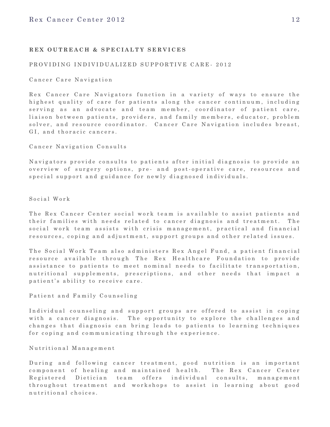# REX OUTREACH & SPECIALTY SERVICES

### PROVIDING INDIVIDUALIZED SUPPORTIVE CARE- 2012

Cancer Care Navigation

Rex Cancer Care Navigators function in a variety of ways to ensure the highest quality of care for patients along the cancer continuum, including serving as an advocate and team member, coordinator of patient care, liaison between patients, providers, and family members, educator, problem solver, and resource coordinator. Cancer Care Navigation includes breast, GI, and thoracic cancers.

Cancer Navigation Consults

Navigators provide consults to patients after initial diagnosis to provide an overview of surgery options, pre- and post-operative care, resources and special support and guidance for newly diagnosed individuals.

Social Work

The Rex Cancer Center social work team is available to assist patients and their families with needs related to cancer diagnosis and treatment. The social work team assists with crisis management, practical and financial resources, coping and adjustment, support groups and other related issues.

The Social Work Team also administers Rex Angel Fund, a patient financial resource available through The Rex Healthcare Foundation to provide assistance to patients to meet nominal needs to facilitate transportation, nutritional supplements, prescriptions, and other needs that impact a patient's ability to receive care.

Patient and Family Counseling

Individual counseling and support groups are offered to assist in coping with a cancer diagnosis. The opportunity to explore the challenges and changes that diagnosis can bring leads to patients to learning techniques for coping and communicating through the experience.

Nutritional Management

During and following cancer treatment, good nutrition is an important component of healing and maintained health. The Rex Cancer Center Registered Dietician team offers individual consults, management throughout treatment and workshops to assist in learning about good nutritional choices.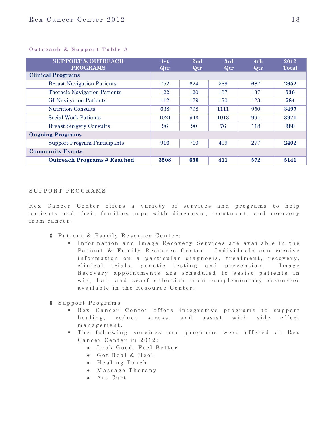# **Outreach & Support Table A**

| <b>SUPPORT &amp; OUTREACH</b><br><b>PROGRAMS</b> | 1st<br>Qtr | 2nd<br>Qtr | 3rd<br>Qtr | 4th<br>Qtr | 2012<br><b>Total</b> |
|--------------------------------------------------|------------|------------|------------|------------|----------------------|
| <b>Clinical Programs</b>                         |            |            |            |            |                      |
| <b>Breast Navigation Patients</b>                | 752        | 624        | 589        | 687        | 2652                 |
| <b>Thoracic Navigation Patients</b>              | 122        | 120        | 157        | 137        | 536                  |
| <b>GI Navigation Patients</b>                    | 112        | 179        | 170        | 123        | 584                  |
| <b>Nutrition Consults</b>                        | 638        | 798        | 1111       | 950        | 3497                 |
| Social Work Patients                             | 1021       | 943        | 1013       | 994        | 3971                 |
| <b>Breast Surgery Consults</b>                   | 96         | 90         | 76         | 118        | 380                  |
| <b>Ongoing Programs</b>                          |            |            |            |            |                      |
| <b>Support Program Participants</b>              | 916        | 710        | 499        | 277        | 2402                 |
| <b>Community Events</b>                          |            |            |            |            |                      |
| <b>Outreach Programs # Reached</b>               | 3508       | 650        | 411        | 572        | 5141                 |

# SUPPORT PROGRAMS

Rex Cancer Center offers a variety of services and programs to help patients and their families cope with diagnosis, treatment, and recovery from cancer.

- **A** Patient & Family Resource Center:
	- Information and Image Recovery Services are available in the Patient & Family Resource Center. Individuals can receive information on a particular diagnosis, treatment, recovery, clinical trials, genetic testing and prevention. Image Recovery appointments are scheduled to assist patients in wig, hat, and scarf selection from complementary resources available in the Resource Center.
- 8 Support Programs
	- **Rex Cancer Center offers integrative programs to support** healing, reduce stress, and assist with side effect m a n a g e m e n t.
	- " The following services and programs were offered at Rex Cancer Center in 2012:
		- $\bullet$  Look Good, Feel Better
		- Get Real & Heel
		- $\bullet$  Healing Touch
		- $\bullet$  Massage Therapy
		- $•$  Art Cart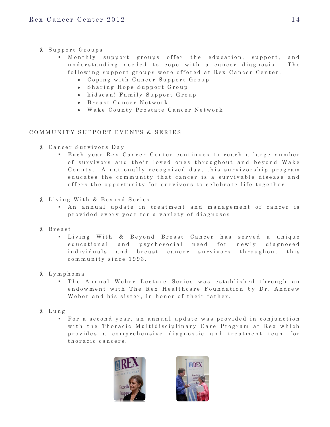- S u p p o r t G r o u p s
	- Monthly support groups offer the education, support, and understanding needed to cope with a cancer diagnosis. The following support groups were offered at Rex Cancer Center.
		- Coping with Cancer Support Group
		- Sharing Hope Support Group
		- kidscan! Family Support Group
		- **B** reast Cancer Network
		- Wake County Prostate Cancer Network

# COMMUNITY SUPPORT EVENTS & SERIES

- C a n c e r S u r v i v o r s D a y
	- Each year Rex Cancer Center continues to reach a large number of survivors and their loved ones throughout and beyond Wake County. A nationally recognized day, this survivorship program educates the community that cancer is a survivable disease and offers the opportunity for survivors to celebrate life together
- *8* Living With & Beyond Series
	- An annual update in treatment and management of cancer is provided every year for a variety of diagnoses.
- B r e a s t
	- " Living With & Beyond Breast Cancer has served a unique educational and psychosocial need for newly diagnosed individuals and breast cancer survivors throughout this community since 1993.
- L y m p h o m a
	- " The Annual Weber Lecture Series was established through an endowment with The Rex Healthcare Foundation by Dr. Andrew Weber and his sister, in honor of their father.
- L ung
	- For a second year, an annual update was provided in conjunction with the Thoracic Multidisciplinary Care Program at Rex which provides a comprehensive diagnostic and treatment team for thoracic cancers.



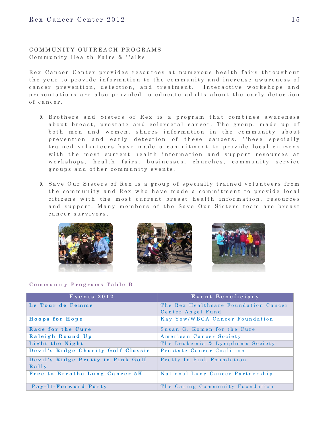COMMUNITY OUTREACH PROGRAMS Community Health Fairs & Talks

Rex Cancer Center provides resources at numerous health fairs throughout the year to provide information to the community and increase awareness of cancer prevention, detection, and treatment. Interactive workshops and presentations are also provided to educate adults about the early detection of cancer.

- 8 Brothers and Sisters of Rex is a program that combines awareness about breast, prostate and colorectal cancer. The group, made up of both men and women, shares information in the community about prevention and early detection of these cancers. These specially trained volunteers have made a commitment to provide local citizens with the most current health information and support resources at workshops, health fairs, businesses, churches, community service groups and other community events.
- 8 Save Our Sisters of Rex is a group of specially trained volunteers from the community and Rex who have made a commitment to provide local citizens with the most current breast health information, resources and support. Many members of the Save Our Sisters team are breast cancer survivors.



### **Community Programs Table B**

| Events 2012                        | Event Beneficiary                    |
|------------------------------------|--------------------------------------|
| Le Tour de Femme                   | The Rex Healthcare Foundation Cancer |
|                                    | Center Angel Fund                    |
| Hoops for Hope                     | Kay Yow/WBCA Cancer Foundation       |
| Race for the Cure                  | Susan G. Komen for the Cure          |
| Raleigh Round Up                   | American Cancer Society              |
| Light the Night                    | The Leukemia & Lymphoma Society      |
| Devil's Ridge Charity Golf Classic | Prostate Cancer Coalition            |
| Devil's Ridge Pretty in Pink Golf  | Pretty In Pink Foundation            |
| $R$ ally                           |                                      |
| Free to Breathe Lung Cancer 5K     | National Lung Cancer Partnership     |
|                                    |                                      |
| Pay-It-Forward Party               | The Caring Community Foundation      |